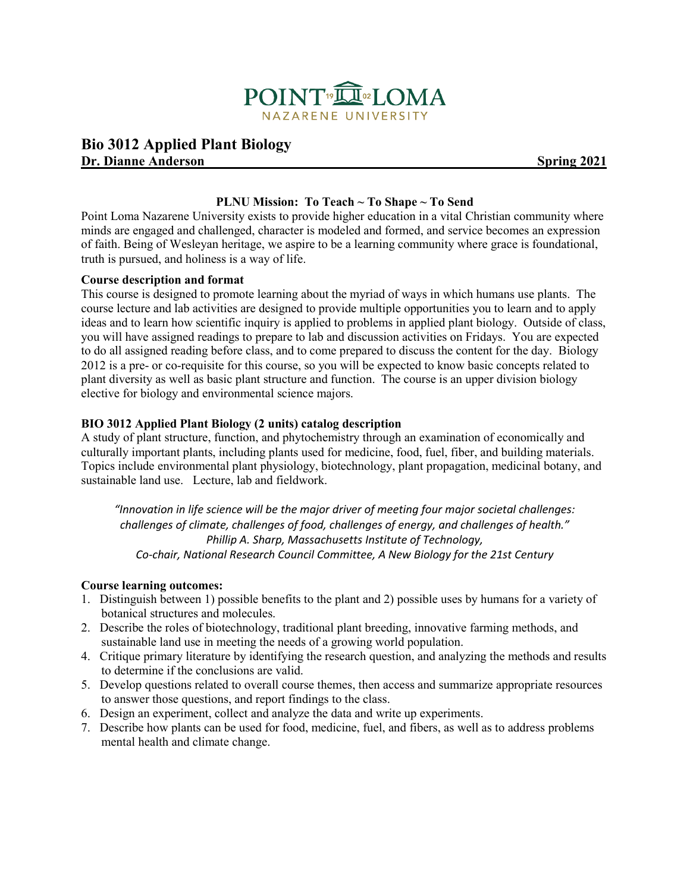

# **Bio 3012 Applied Plant Biology Dr. Dianne Anderson** Spring 2021

### **PLNU Mission: To Teach ~ To Shape ~ To Send**

Point Loma Nazarene University exists to provide higher education in a vital Christian community where minds are engaged and challenged, character is modeled and formed, and service becomes an expression of faith. Being of Wesleyan heritage, we aspire to be a learning community where grace is foundational, truth is pursued, and holiness is a way of life.

#### **Course description and format**

This course is designed to promote learning about the myriad of ways in which humans use plants. The course lecture and lab activities are designed to provide multiple opportunities you to learn and to apply ideas and to learn how scientific inquiry is applied to problems in applied plant biology. Outside of class, you will have assigned readings to prepare to lab and discussion activities on Fridays. You are expected to do all assigned reading before class, and to come prepared to discuss the content for the day. Biology 2012 is a pre- or co-requisite for this course, so you will be expected to know basic concepts related to plant diversity as well as basic plant structure and function. The course is an upper division biology elective for biology and environmental science majors.

#### **BIO 3012 Applied Plant Biology (2 units) catalog description**

A study of plant structure, function, and phytochemistry through an examination of economically and culturally important plants, including plants used for medicine, food, fuel, fiber, and building materials. Topics include environmental plant physiology, biotechnology, plant propagation, medicinal botany, and sustainable land use. Lecture, lab and fieldwork.

*"Innovation in life science will be the major driver of meeting four major societal challenges: challenges of climate, challenges of food, challenges of energy, and challenges of health." Phillip A. Sharp, Massachusetts Institute of Technology, Co-chair, National Research Council Committee, A New Biology for the 21st Century*

#### **Course learning outcomes:**

- 1. Distinguish between 1) possible benefits to the plant and 2) possible uses by humans for a variety of botanical structures and molecules.
- 2. Describe the roles of biotechnology, traditional plant breeding, innovative farming methods, and sustainable land use in meeting the needs of a growing world population.
- 4. Critique primary literature by identifying the research question, and analyzing the methods and results to determine if the conclusions are valid.
- 5. Develop questions related to overall course themes, then access and summarize appropriate resources to answer those questions, and report findings to the class.
- 6. Design an experiment, collect and analyze the data and write up experiments.
- 7. Describe how plants can be used for food, medicine, fuel, and fibers, as well as to address problems mental health and climate change.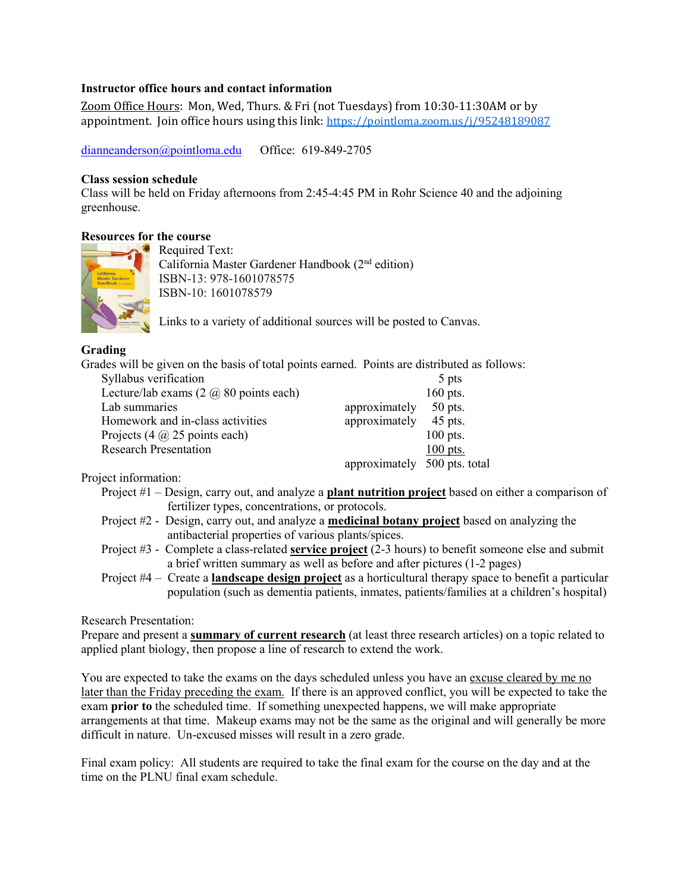#### **Instructor office hours and contact information**

Zoom Office Hours: Mon, Wed, Thurs. & Fri (not Tuesdays) from 10:30-11:30AM or by appointment. Join office hours using this link: <https://pointloma.zoom.us/j/95248189087>

[dianneanderson@pointloma.edu](mailto:dianneanderson@pointloma.edu) Office: 619-849-2705

#### **Class session schedule**

Class will be held on Friday afternoons from 2:45-4:45 PM in Rohr Science 40 and the adjoining greenhouse.

#### **Resources for the course**



Required Text: California Master Gardener Handbook (2nd edition) ISBN-13: 978-1601078575 ISBN-10: 1601078579

Links to a variety of additional sources will be posted to Canvas.

### **Grading**

Grades will be given on the basis of total points earned. Points are distributed as follows:

| Syllabus verification                             |                              | 5 pts      |
|---------------------------------------------------|------------------------------|------------|
| Lecture/lab exams $(2 \text{ } @$ 80 points each) |                              | 160 pts.   |
| Lab summaries                                     | approximately                | $50$ pts.  |
| Homework and in-class activities                  | approximately                | $45$ pts.  |
| Projects $(4 \text{ } @ 25 \text{ points each})$  |                              | $100$ pts. |
| <b>Research Presentation</b>                      |                              | $100$ pts. |
|                                                   | approximately 500 pts. total |            |

Project information:

- Project #1 Design, carry out, and analyze a **plant nutrition project** based on either a comparison of fertilizer types, concentrations, or protocols.
- Project #2 Design, carry out, and analyze a **medicinal botany project** based on analyzing the antibacterial properties of various plants/spices.
- Project #3 Complete a class-related **service project** (2-3 hours) to benefit someone else and submit a brief written summary as well as before and after pictures (1-2 pages)
- Project #4 Create a **landscape design project** as a horticultural therapy space to benefit a particular population (such as dementia patients, inmates, patients/families at a children's hospital)

Research Presentation:

Prepare and present a **summary of current research** (at least three research articles) on a topic related to applied plant biology, then propose a line of research to extend the work.

You are expected to take the exams on the days scheduled unless you have an excuse cleared by me no later than the Friday preceding the exam. If there is an approved conflict, you will be expected to take the exam **prior to** the scheduled time. If something unexpected happens, we will make appropriate arrangements at that time. Makeup exams may not be the same as the original and will generally be more difficult in nature. Un-excused misses will result in a zero grade.

Final exam policy: All students are required to take the final exam for the course on the day and at the time on the PLNU final exam schedule.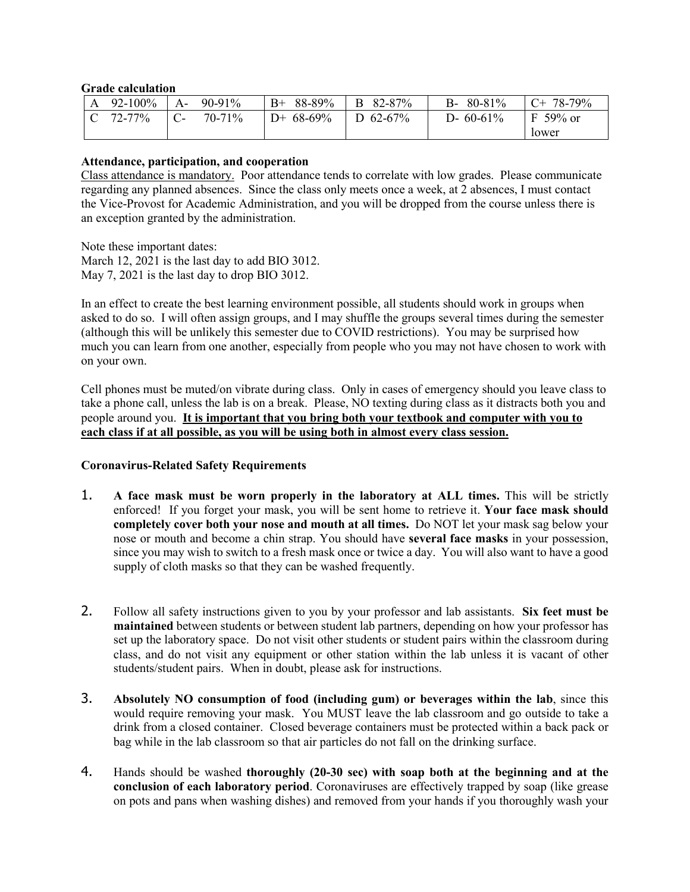#### **Grade calculation**

| $\mathbf{A}$ | 92-100%                                             | A-              | 90-91% | $B+ 88-89\%$ | B 82-87%         | $B-80-81\%$  | $C+ 78-79%$ |
|--------------|-----------------------------------------------------|-----------------|--------|--------------|------------------|--------------|-------------|
|              | $\begin{array}{ccc} \text{C} & 72-77\% \end{array}$ | $\mathsf{IC}$ - | 70-71% | $D+68-69\%$  | $\vert$ D 62-67% | D- $60-61\%$ | $F$ 59% or  |
|              |                                                     |                 |        |              |                  |              | lower       |

#### **Attendance, participation, and cooperation**

Class attendance is mandatory. Poor attendance tends to correlate with low grades. Please communicate regarding any planned absences. Since the class only meets once a week, at 2 absences, I must contact the Vice-Provost for Academic Administration, and you will be dropped from the course unless there is an exception granted by the administration.

Note these important dates: March 12, 2021 is the last day to add BIO 3012. May 7, 2021 is the last day to drop BIO 3012.

In an effect to create the best learning environment possible, all students should work in groups when asked to do so. I will often assign groups, and I may shuffle the groups several times during the semester (although this will be unlikely this semester due to COVID restrictions). You may be surprised how much you can learn from one another, especially from people who you may not have chosen to work with on your own.

Cell phones must be muted/on vibrate during class. Only in cases of emergency should you leave class to take a phone call, unless the lab is on a break. Please, NO texting during class as it distracts both you and people around you. **It is important that you bring both your textbook and computer with you to each class if at all possible, as you will be using both in almost every class session.**

### **Coronavirus-Related Safety Requirements**

- 1. **A face mask must be worn properly in the laboratory at ALL times.** This will be strictly enforced! If you forget your mask, you will be sent home to retrieve it. **Your face mask should completely cover both your nose and mouth at all times.** Do NOT let your mask sag below your nose or mouth and become a chin strap. You should have **several face masks** in your possession, since you may wish to switch to a fresh mask once or twice a day. You will also want to have a good supply of cloth masks so that they can be washed frequently.
- 2. Follow all safety instructions given to you by your professor and lab assistants. **Six feet must be maintained** between students or between student lab partners, depending on how your professor has set up the laboratory space. Do not visit other students or student pairs within the classroom during class, and do not visit any equipment or other station within the lab unless it is vacant of other students/student pairs. When in doubt, please ask for instructions.
- 3. **Absolutely NO consumption of food (including gum) or beverages within the lab**, since this would require removing your mask. You MUST leave the lab classroom and go outside to take a drink from a closed container. Closed beverage containers must be protected within a back pack or bag while in the lab classroom so that air particles do not fall on the drinking surface.
- 4. Hands should be washed **thoroughly (20-30 sec) with soap both at the beginning and at the conclusion of each laboratory period**. Coronaviruses are effectively trapped by soap (like grease on pots and pans when washing dishes) and removed from your hands if you thoroughly wash your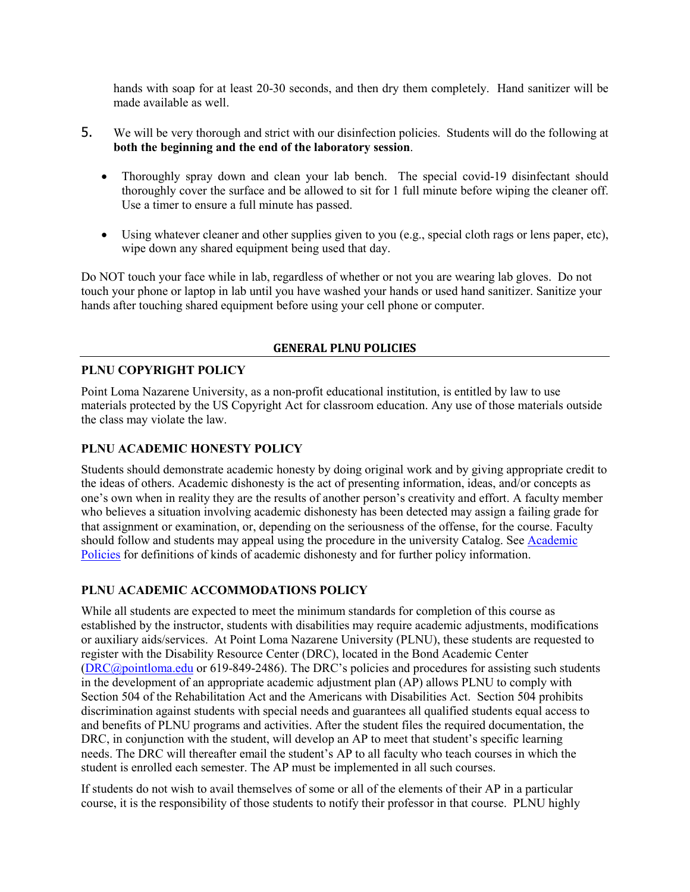hands with soap for at least 20-30 seconds, and then dry them completely. Hand sanitizer will be made available as well.

- 5. We will be very thorough and strict with our disinfection policies. Students will do the following at **both the beginning and the end of the laboratory session**.
	- Thoroughly spray down and clean your lab bench. The special covid-19 disinfectant should thoroughly cover the surface and be allowed to sit for 1 full minute before wiping the cleaner off. Use a timer to ensure a full minute has passed.
	- Using whatever cleaner and other supplies given to you (e.g., special cloth rags or lens paper, etc), wipe down any shared equipment being used that day.

Do NOT touch your face while in lab, regardless of whether or not you are wearing lab gloves. Do not touch your phone or laptop in lab until you have washed your hands or used hand sanitizer. Sanitize your hands after touching shared equipment before using your cell phone or computer.

### **GENERAL PLNU POLICIES**

## **PLNU COPYRIGHT POLICY**

Point Loma Nazarene University, as a non-profit educational institution, is entitled by law to use materials protected by the US Copyright Act for classroom education. Any use of those materials outside the class may violate the law.

### **PLNU ACADEMIC HONESTY POLICY**

Students should demonstrate academic honesty by doing original work and by giving appropriate credit to the ideas of others. Academic dishonesty is the act of presenting information, ideas, and/or concepts as one's own when in reality they are the results of another person's creativity and effort. A faculty member who believes a situation involving academic dishonesty has been detected may assign a failing grade for that assignment or examination, or, depending on the seriousness of the offense, for the course. Faculty should follow and students may appeal using the procedure in the university Catalog. See [Academic](https://catalog.pointloma.edu/content.php?catoid=41&navoid=2435#Academic_Honesty)  [Policies](https://catalog.pointloma.edu/content.php?catoid=41&navoid=2435#Academic_Honesty) for definitions of kinds of academic dishonesty and for further policy information.

## **PLNU ACADEMIC ACCOMMODATIONS POLICY**

While all students are expected to meet the minimum standards for completion of this course as established by the instructor, students with disabilities may require academic adjustments, modifications or auxiliary aids/services. At Point Loma Nazarene University (PLNU), these students are requested to register with the Disability Resource Center (DRC), located in the Bond Academic Center [\(DRC@pointloma.edu](mailto:DRC@pointloma.edu) or 619-849-2486). The DRC's policies and procedures for assisting such students in the development of an appropriate academic adjustment plan (AP) allows PLNU to comply with Section 504 of the Rehabilitation Act and the Americans with Disabilities Act. Section 504 prohibits discrimination against students with special needs and guarantees all qualified students equal access to and benefits of PLNU programs and activities. After the student files the required documentation, the DRC, in conjunction with the student, will develop an AP to meet that student's specific learning needs. The DRC will thereafter email the student's AP to all faculty who teach courses in which the student is enrolled each semester. The AP must be implemented in all such courses.

If students do not wish to avail themselves of some or all of the elements of their AP in a particular course, it is the responsibility of those students to notify their professor in that course. PLNU highly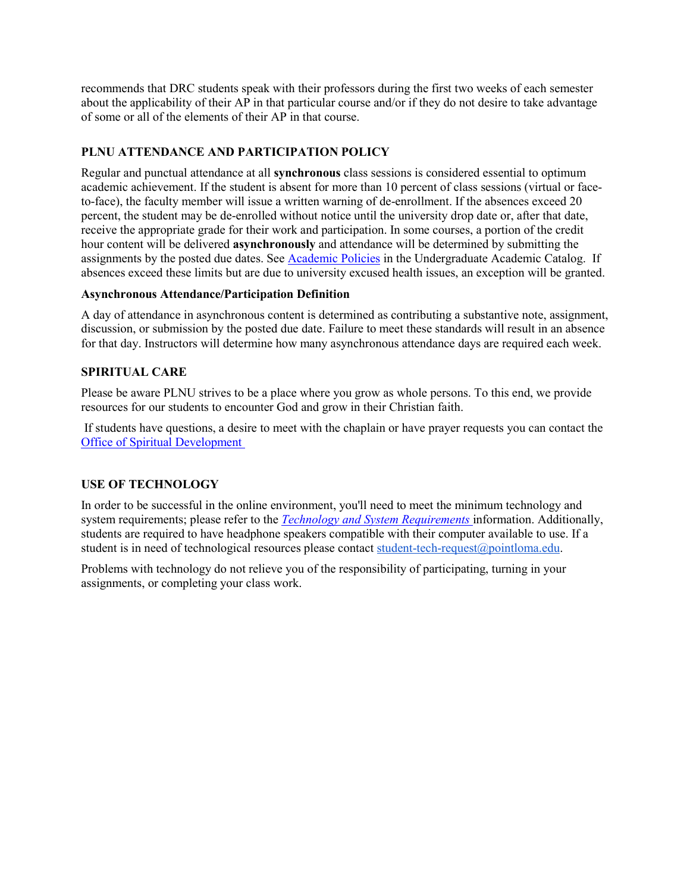recommends that DRC students speak with their professors during the first two weeks of each semester about the applicability of their AP in that particular course and/or if they do not desire to take advantage of some or all of the elements of their AP in that course.

## **PLNU ATTENDANCE AND PARTICIPATION POLICY**

Regular and punctual attendance at all **synchronous** class sessions is considered essential to optimum academic achievement. If the student is absent for more than 10 percent of class sessions (virtual or faceto-face), the faculty member will issue a written warning of de-enrollment. If the absences exceed 20 percent, the student may be de-enrolled without notice until the university drop date or, after that date, receive the appropriate grade for their work and participation. In some courses, a portion of the credit hour content will be delivered **asynchronously** and attendance will be determined by submitting the assignments by the posted due dates. See [Academic Policies](https://catalog.pointloma.edu/content.php?catoid=46&navoid=2650#Class_Attendance) in the Undergraduate Academic Catalog. If absences exceed these limits but are due to university excused health issues, an exception will be granted.

### **Asynchronous Attendance/Participation Definition**

A day of attendance in asynchronous content is determined as contributing a substantive note, assignment, discussion, or submission by the posted due date. Failure to meet these standards will result in an absence for that day. Instructors will determine how many asynchronous attendance days are required each week.

## **SPIRITUAL CARE**

Please be aware PLNU strives to be a place where you grow as whole persons. To this end, we provide resources for our students to encounter God and grow in their Christian faith.

If students have questions, a desire to meet with the chaplain or have prayer requests you can contact the [Office of Spiritual Development](https://www.pointloma.edu/offices/spiritual-development)

## **USE OF TECHNOLOGY**

In order to be successful in the online environment, you'll need to meet the minimum technology and system requirements; please refer to the *[Technology and System Requirements](https://help.pointloma.edu/TDClient/1808/Portal/KB/ArticleDet?ID=108349)* information. Additionally, students are required to have headphone speakers compatible with their computer available to use. If a student is in need of technological resources please contact [student-tech-request@pointloma.edu.](mailto:student-tech-request@pointloma.edu)

Problems with technology do not relieve you of the responsibility of participating, turning in your assignments, or completing your class work.